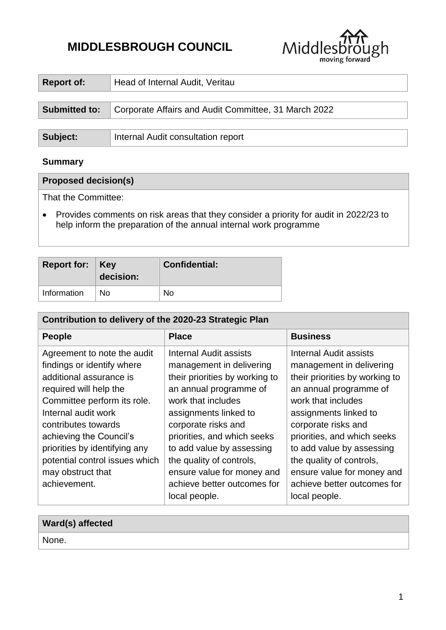# **MIDDLESBROUGH COUNCIL**



| <b>Report of:</b>    | Head of Internal Audit, Veritau                      |  |
|----------------------|------------------------------------------------------|--|
|                      |                                                      |  |
| <b>Submitted to:</b> | Corporate Affairs and Audit Committee, 31 March 2022 |  |
|                      |                                                      |  |
| Subject:             | Internal Audit consultation report                   |  |

# **Summary**

## **Proposed decision(s)**

That the Committee:

 Provides comments on risk areas that they consider a priority for audit in 2022/23 to help inform the preparation of the annual internal work programme

| <b>Report for: Key</b> | decision: | <b>Confidential:</b> |
|------------------------|-----------|----------------------|
| Information            | No        | Nο                   |

| Contribution to delivery of the 2020-23 Strategic Plan                                                                                                                                                                                                                                                                         |                                                                                                                                                                                                                                                                                                                                                            |                                                                                                                                                                                                                                                                                                                                                            |  |  |
|--------------------------------------------------------------------------------------------------------------------------------------------------------------------------------------------------------------------------------------------------------------------------------------------------------------------------------|------------------------------------------------------------------------------------------------------------------------------------------------------------------------------------------------------------------------------------------------------------------------------------------------------------------------------------------------------------|------------------------------------------------------------------------------------------------------------------------------------------------------------------------------------------------------------------------------------------------------------------------------------------------------------------------------------------------------------|--|--|
| <b>People</b>                                                                                                                                                                                                                                                                                                                  | <b>Place</b>                                                                                                                                                                                                                                                                                                                                               | <b>Business</b>                                                                                                                                                                                                                                                                                                                                            |  |  |
| Agreement to note the audit<br>findings or identify where<br>additional assurance is<br>required will help the<br>Committee perform its role.<br>Internal audit work<br>contributes towards<br>achieving the Council's<br>priorities by identifying any<br>potential control issues which<br>may obstruct that<br>achievement. | Internal Audit assists<br>management in delivering<br>their priorities by working to<br>an annual programme of<br>work that includes<br>assignments linked to<br>corporate risks and<br>priorities, and which seeks<br>to add value by assessing<br>the quality of controls,<br>ensure value for money and<br>achieve better outcomes for<br>local people. | Internal Audit assists<br>management in delivering<br>their priorities by working to<br>an annual programme of<br>work that includes<br>assignments linked to<br>corporate risks and<br>priorities, and which seeks<br>to add value by assessing<br>the quality of controls,<br>ensure value for money and<br>achieve better outcomes for<br>local people. |  |  |

| Ward(s) affected |  |
|------------------|--|
| None.            |  |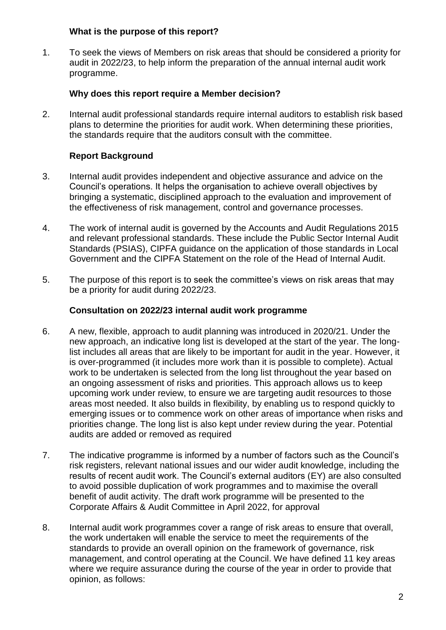#### **What is the purpose of this report?**

1. To seek the views of Members on risk areas that should be considered a priority for audit in 2022/23, to help inform the preparation of the annual internal audit work programme.

## **Why does this report require a Member decision?**

2. Internal audit professional standards require internal auditors to establish risk based plans to determine the priorities for audit work. When determining these priorities, the standards require that the auditors consult with the committee.

## **Report Background**

- 3. Internal audit provides independent and objective assurance and advice on the Council's operations. It helps the organisation to achieve overall objectives by bringing a systematic, disciplined approach to the evaluation and improvement of the effectiveness of risk management, control and governance processes.
- 4. The work of internal audit is governed by the Accounts and Audit Regulations 2015 and relevant professional standards. These include the Public Sector Internal Audit Standards (PSIAS), CIPFA guidance on the application of those standards in Local Government and the CIPFA Statement on the role of the Head of Internal Audit.
- 5. The purpose of this report is to seek the committee's views on risk areas that may be a priority for audit during 2022/23.

#### **Consultation on 2022/23 internal audit work programme**

- 6. A new, flexible, approach to audit planning was introduced in 2020/21. Under the new approach, an indicative long list is developed at the start of the year. The longlist includes all areas that are likely to be important for audit in the year. However, it is over-programmed (it includes more work than it is possible to complete). Actual work to be undertaken is selected from the long list throughout the year based on an ongoing assessment of risks and priorities. This approach allows us to keep upcoming work under review, to ensure we are targeting audit resources to those areas most needed. It also builds in flexibility, by enabling us to respond quickly to emerging issues or to commence work on other areas of importance when risks and priorities change. The long list is also kept under review during the year. Potential audits are added or removed as required
- 7. The indicative programme is informed by a number of factors such as the Council's risk registers, relevant national issues and our wider audit knowledge, including the results of recent audit work. The Council's external auditors (EY) are also consulted to avoid possible duplication of work programmes and to maximise the overall benefit of audit activity. The draft work programme will be presented to the Corporate Affairs & Audit Committee in April 2022, for approval
- 8. Internal audit work programmes cover a range of risk areas to ensure that overall, the work undertaken will enable the service to meet the requirements of the standards to provide an overall opinion on the framework of governance, risk management, and control operating at the Council. We have defined 11 key areas where we require assurance during the course of the year in order to provide that opinion, as follows: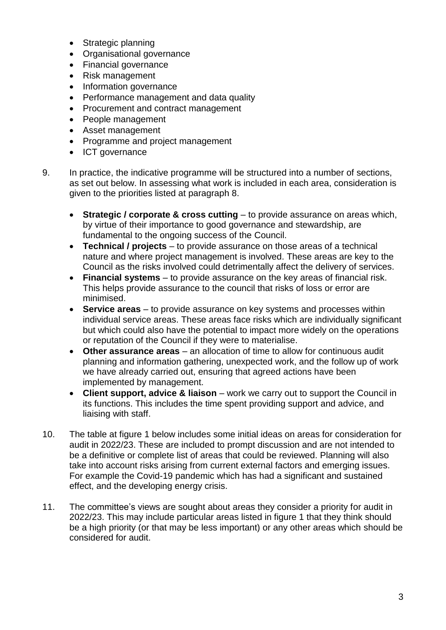- Strategic planning
- Organisational governance
- Financial governance
- Risk management
- Information governance
- Performance management and data quality
- Procurement and contract management
- People management
- Asset management
- Programme and project management
- ICT governance
- 9. In practice, the indicative programme will be structured into a number of sections, as set out below. In assessing what work is included in each area, consideration is given to the priorities listed at paragraph 8.
	- **Strategic / corporate & cross cutting** to provide assurance on areas which, by virtue of their importance to good governance and stewardship, are fundamental to the ongoing success of the Council.
	- **Technical / projects** to provide assurance on those areas of a technical nature and where project management is involved. These areas are key to the Council as the risks involved could detrimentally affect the delivery of services.
	- **Financial systems** to provide assurance on the key areas of financial risk. This helps provide assurance to the council that risks of loss or error are minimised.
	- **Service areas** to provide assurance on key systems and processes within individual service areas. These areas face risks which are individually significant but which could also have the potential to impact more widely on the operations or reputation of the Council if they were to materialise.
	- **Other assurance areas** an allocation of time to allow for continuous audit planning and information gathering, unexpected work, and the follow up of work we have already carried out, ensuring that agreed actions have been implemented by management.
	- **Client support, advice & liaison** work we carry out to support the Council in its functions. This includes the time spent providing support and advice, and liaising with staff.
- 10. The table at figure 1 below includes some initial ideas on areas for consideration for audit in 2022/23. These are included to prompt discussion and are not intended to be a definitive or complete list of areas that could be reviewed. Planning will also take into account risks arising from current external factors and emerging issues. For example the Covid-19 pandemic which has had a significant and sustained effect, and the developing energy crisis.
- 11. The committee's views are sought about areas they consider a priority for audit in 2022/23. This may include particular areas listed in figure 1 that they think should be a high priority (or that may be less important) or any other areas which should be considered for audit.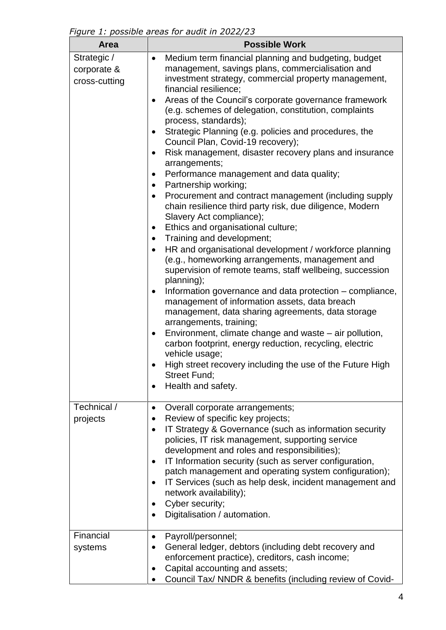*Figure 1: possible areas for audit in 2022/23*

| <b>Area</b>                                 | <b>Possible Work</b>                                                                                                                                                                                                                                                                                                                                                                                                                                                                                                                                                                                                                                                                                                                                                                                                                                                                                                                                                                                                                                                                                                                                                                                                                                                                                                                                                                                                                                                |
|---------------------------------------------|---------------------------------------------------------------------------------------------------------------------------------------------------------------------------------------------------------------------------------------------------------------------------------------------------------------------------------------------------------------------------------------------------------------------------------------------------------------------------------------------------------------------------------------------------------------------------------------------------------------------------------------------------------------------------------------------------------------------------------------------------------------------------------------------------------------------------------------------------------------------------------------------------------------------------------------------------------------------------------------------------------------------------------------------------------------------------------------------------------------------------------------------------------------------------------------------------------------------------------------------------------------------------------------------------------------------------------------------------------------------------------------------------------------------------------------------------------------------|
| Strategic /<br>corporate &<br>cross-cutting | Medium term financial planning and budgeting, budget<br>$\bullet$<br>management, savings plans, commercialisation and<br>investment strategy, commercial property management,<br>financial resilience;<br>Areas of the Council's corporate governance framework<br>$\bullet$<br>(e.g. schemes of delegation, constitution, complaints<br>process, standards);<br>Strategic Planning (e.g. policies and procedures, the<br>Council Plan, Covid-19 recovery);<br>Risk management, disaster recovery plans and insurance<br>arrangements;<br>Performance management and data quality;<br>Partnership working;<br>Procurement and contract management (including supply<br>chain resilience third party risk, due diligence, Modern<br>Slavery Act compliance);<br>Ethics and organisational culture;<br>٠<br>Training and development;<br>HR and organisational development / workforce planning<br>(e.g., homeworking arrangements, management and<br>supervision of remote teams, staff wellbeing, succession<br>planning);<br>Information governance and data protection – compliance,<br>management of information assets, data breach<br>management, data sharing agreements, data storage<br>arrangements, training;<br>Environment, climate change and waste $-$ air pollution,<br>carbon footprint, energy reduction, recycling, electric<br>vehicle usage;<br>High street recovery including the use of the Future High<br>Street Fund;<br>Health and safety. |
| Technical /<br>projects                     | Overall corporate arrangements;<br>$\bullet$<br>Review of specific key projects;<br>$\bullet$<br>IT Strategy & Governance (such as information security<br>٠<br>policies, IT risk management, supporting service<br>development and roles and responsibilities);<br>IT Information security (such as server configuration,<br>patch management and operating system configuration);<br>IT Services (such as help desk, incident management and<br>network availability);<br>Cyber security;<br>Digitalisation / automation.                                                                                                                                                                                                                                                                                                                                                                                                                                                                                                                                                                                                                                                                                                                                                                                                                                                                                                                                         |
| Financial<br>systems                        | Payroll/personnel;<br>٠<br>General ledger, debtors (including debt recovery and<br>enforcement practice), creditors, cash income;<br>Capital accounting and assets;<br>$\bullet$<br>Council Tax/ NNDR & benefits (including review of Covid-                                                                                                                                                                                                                                                                                                                                                                                                                                                                                                                                                                                                                                                                                                                                                                                                                                                                                                                                                                                                                                                                                                                                                                                                                        |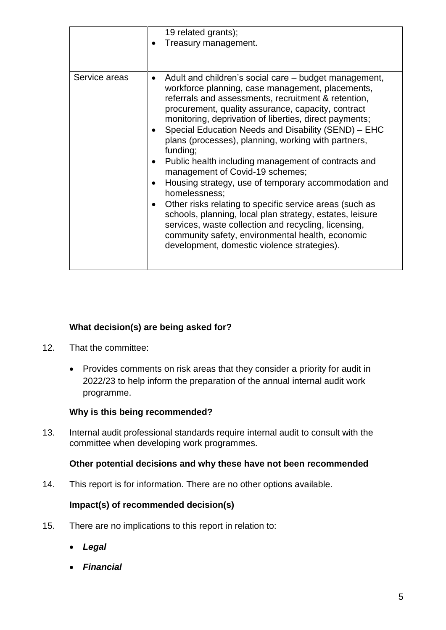|               | 19 related grants);<br>Treasury management.                                                                                                                                                                                                                                                                                                                                                                                                                                                                                                                                                                                                                                                                                                                                                                                                                                  |
|---------------|------------------------------------------------------------------------------------------------------------------------------------------------------------------------------------------------------------------------------------------------------------------------------------------------------------------------------------------------------------------------------------------------------------------------------------------------------------------------------------------------------------------------------------------------------------------------------------------------------------------------------------------------------------------------------------------------------------------------------------------------------------------------------------------------------------------------------------------------------------------------------|
| Service areas | Adult and children's social care – budget management,<br>$\bullet$<br>workforce planning, case management, placements,<br>referrals and assessments, recruitment & retention,<br>procurement, quality assurance, capacity, contract<br>monitoring, deprivation of liberties, direct payments;<br>Special Education Needs and Disability (SEND) - EHC<br>plans (processes), planning, working with partners,<br>funding;<br>Public health including management of contracts and<br>management of Covid-19 schemes;<br>Housing strategy, use of temporary accommodation and<br>homelessness;<br>Other risks relating to specific service areas (such as<br>schools, planning, local plan strategy, estates, leisure<br>services, waste collection and recycling, licensing,<br>community safety, environmental health, economic<br>development, domestic violence strategies). |

## **What decision(s) are being asked for?**

- 12. That the committee:
	- Provides comments on risk areas that they consider a priority for audit in 2022/23 to help inform the preparation of the annual internal audit work programme.

## **Why is this being recommended?**

13. Internal audit professional standards require internal audit to consult with the committee when developing work programmes.

#### **Other potential decisions and why these have not been recommended**

14. This report is for information. There are no other options available.

## **Impact(s) of recommended decision(s)**

- 15. There are no implications to this report in relation to:
	- *Legal*
	- *Financial*